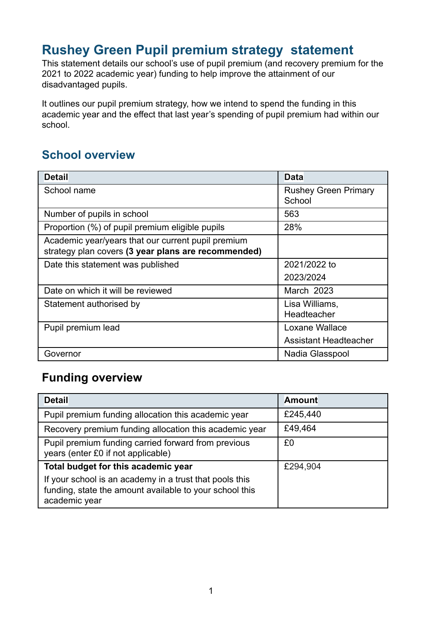### **Rushey Green Pupil premium strategy statement**

This statement details our school's use of pupil premium (and recovery premium for the 2021 to 2022 academic year) funding to help improve the attainment of our disadvantaged pupils.

It outlines our pupil premium strategy, how we intend to spend the funding in this academic year and the effect that last year's spending of pupil premium had within our school.

#### **School overview**

| <b>Detail</b>                                                                                             | <b>Data</b>                           |
|-----------------------------------------------------------------------------------------------------------|---------------------------------------|
| School name                                                                                               | <b>Rushey Green Primary</b><br>School |
| Number of pupils in school                                                                                | 563                                   |
| Proportion (%) of pupil premium eligible pupils                                                           | 28%                                   |
| Academic year/years that our current pupil premium<br>strategy plan covers (3 year plans are recommended) |                                       |
| Date this statement was published                                                                         | 2021/2022 to                          |
|                                                                                                           | 2023/2024                             |
| Date on which it will be reviewed                                                                         | March 2023                            |
| Statement authorised by                                                                                   | Lisa Williams,<br>Headteacher         |
| Pupil premium lead                                                                                        | Loxane Wallace                        |
|                                                                                                           | Assistant Headteacher                 |
| Governor                                                                                                  | Nadia Glasspool                       |

#### **Funding overview**

| <b>Detail</b>                                                                                                                       | <b>Amount</b> |
|-------------------------------------------------------------------------------------------------------------------------------------|---------------|
| Pupil premium funding allocation this academic year                                                                                 | £245,440      |
| Recovery premium funding allocation this academic year                                                                              | £49,464       |
| Pupil premium funding carried forward from previous<br>years (enter £0 if not applicable)                                           | £0            |
| Total budget for this academic year                                                                                                 | £294,904      |
| If your school is an academy in a trust that pools this<br>funding, state the amount available to your school this<br>academic year |               |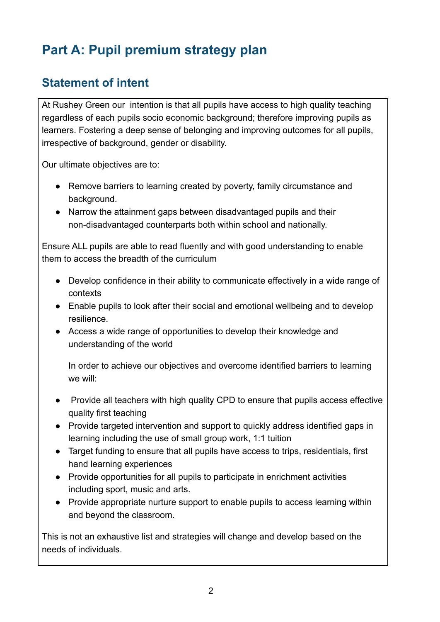## **Part A: Pupil premium strategy plan**

#### **Statement of intent**

At Rushey Green our intention is that all pupils have access to high quality teaching regardless of each pupils socio economic background; therefore improving pupils as learners. Fostering a deep sense of belonging and improving outcomes for all pupils, irrespective of background, gender or disability.

Our ultimate objectives are to:

- Remove barriers to learning created by poverty, family circumstance and background.
- Narrow the attainment gaps between disadvantaged pupils and their non-disadvantaged counterparts both within school and nationally.

Ensure ALL pupils are able to read fluently and with good understanding to enable them to access the breadth of the curriculum

- Develop confidence in their ability to communicate effectively in a wide range of contexts
- Enable pupils to look after their social and emotional wellbeing and to develop resilience.
- Access a wide range of opportunities to develop their knowledge and understanding of the world

In order to achieve our objectives and overcome identified barriers to learning we will:

- Provide all teachers with high quality CPD to ensure that pupils access effective quality first teaching
- Provide targeted intervention and support to quickly address identified gaps in learning including the use of small group work, 1:1 tuition
- Target funding to ensure that all pupils have access to trips, residentials, first hand learning experiences
- Provide opportunities for all pupils to participate in enrichment activities including sport, music and arts.
- Provide appropriate nurture support to enable pupils to access learning within and beyond the classroom.

This is not an exhaustive list and strategies will change and develop based on the needs of individuals.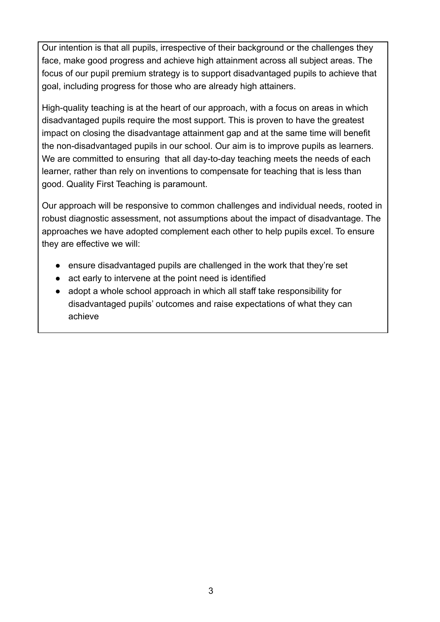Our intention is that all pupils, irrespective of their background or the challenges they face, make good progress and achieve high attainment across all subject areas. The focus of our pupil premium strategy is to support disadvantaged pupils to achieve that goal, including progress for those who are already high attainers.

High-quality teaching is at the heart of our approach, with a focus on areas in which disadvantaged pupils require the most support. This is proven to have the greatest impact on closing the disadvantage attainment gap and at the same time will benefit the non-disadvantaged pupils in our school. Our aim is to improve pupils as learners. We are committed to ensuring that all day-to-day teaching meets the needs of each learner, rather than rely on inventions to compensate for teaching that is less than good. Quality First Teaching is paramount.

Our approach will be responsive to common challenges and individual needs, rooted in robust diagnostic assessment, not assumptions about the impact of disadvantage. The approaches we have adopted complement each other to help pupils excel. To ensure they are effective we will:

- ensure disadvantaged pupils are challenged in the work that they're set
- act early to intervene at the point need is identified
- adopt a whole school approach in which all staff take responsibility for disadvantaged pupils' outcomes and raise expectations of what they can achieve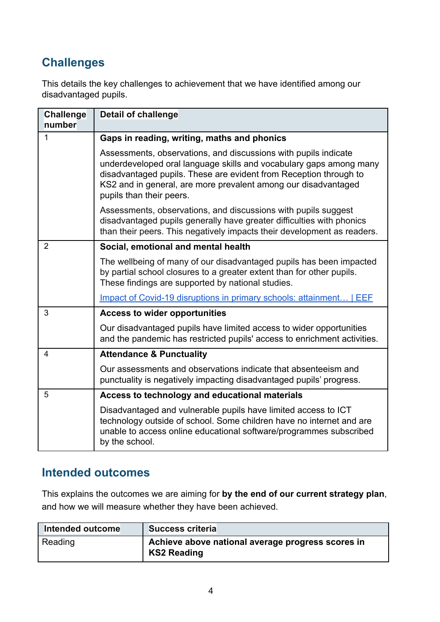#### **Challenges**

This details the key challenges to achievement that we have identified among our disadvantaged pupils.

| <b>Challenge</b><br>number | <b>Detail of challenge</b>                                                                                                                                                                                                                                                                               |
|----------------------------|----------------------------------------------------------------------------------------------------------------------------------------------------------------------------------------------------------------------------------------------------------------------------------------------------------|
| 1                          | Gaps in reading, writing, maths and phonics                                                                                                                                                                                                                                                              |
|                            | Assessments, observations, and discussions with pupils indicate<br>underdeveloped oral language skills and vocabulary gaps among many<br>disadvantaged pupils. These are evident from Reception through to<br>KS2 and in general, are more prevalent among our disadvantaged<br>pupils than their peers. |
|                            | Assessments, observations, and discussions with pupils suggest<br>disadvantaged pupils generally have greater difficulties with phonics<br>than their peers. This negatively impacts their development as readers.                                                                                       |
| $\overline{2}$             | Social, emotional and mental health                                                                                                                                                                                                                                                                      |
|                            | The wellbeing of many of our disadvantaged pupils has been impacted<br>by partial school closures to a greater extent than for other pupils.<br>These findings are supported by national studies.                                                                                                        |
|                            | Impact of Covid-19 disruptions in primary schools: attainment   EEF                                                                                                                                                                                                                                      |
| 3                          | <b>Access to wider opportunities</b>                                                                                                                                                                                                                                                                     |
|                            | Our disadvantaged pupils have limited access to wider opportunities<br>and the pandemic has restricted pupils' access to enrichment activities.                                                                                                                                                          |
| 4                          | <b>Attendance &amp; Punctuality</b>                                                                                                                                                                                                                                                                      |
|                            | Our assessments and observations indicate that absenteeism and<br>punctuality is negatively impacting disadvantaged pupils' progress.                                                                                                                                                                    |
| 5                          | Access to technology and educational materials                                                                                                                                                                                                                                                           |
|                            | Disadvantaged and vulnerable pupils have limited access to ICT<br>technology outside of school. Some children have no internet and are<br>unable to access online educational software/programmes subscribed<br>by the school.                                                                           |

#### **Intended outcomes**

This explains the outcomes we are aiming for **by the end of our current strategy plan**, and how we will measure whether they have been achieved.

| Intended outcome | <b>Success criteria</b>                                                 |
|------------------|-------------------------------------------------------------------------|
| Reading          | Achieve above national average progress scores in<br><b>KS2 Reading</b> |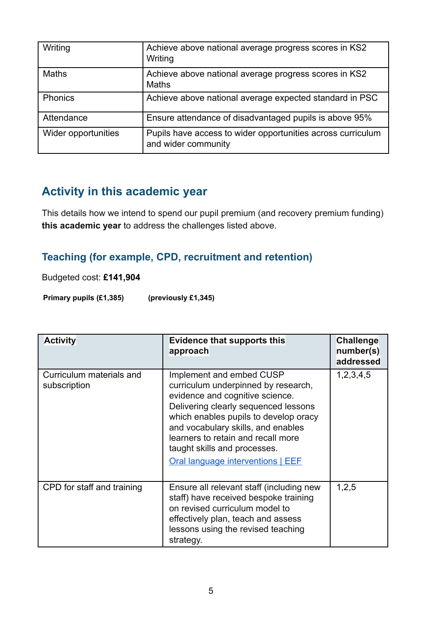| Writing             | Achieve above national average progress scores in KS2<br>Writing                   |
|---------------------|------------------------------------------------------------------------------------|
| <b>Maths</b>        | Achieve above national average progress scores in KS2<br><b>Maths</b>              |
| <b>Phonics</b>      | Achieve above national average expected standard in PSC                            |
| Attendance          | Ensure attendance of disadvantaged pupils is above 95%                             |
| Wider opportunities | Pupils have access to wider opportunities across curriculum<br>and wider community |

#### **Activity in this academic year**

This details how we intend to spend our pupil premium (and recovery premium funding) **this academic year** to address the challenges listed above.

#### **Teaching (for example, CPD, recruitment and retention)**

Budgeted cost: **£141,904**

**Primary pupils (£1,385) (previously £1,345)**

| <b>Activity</b>                          | <b>Evidence that supports this</b><br>approach                                                                                                                                                                                                                                                                                              | Challenge<br>number(s)<br>addressed |
|------------------------------------------|---------------------------------------------------------------------------------------------------------------------------------------------------------------------------------------------------------------------------------------------------------------------------------------------------------------------------------------------|-------------------------------------|
| Curriculum materials and<br>subscription | Implement and embed CUSP<br>curriculum underpinned by research,<br>evidence and cognitive science.<br>Delivering clearly sequenced lessons<br>which enables pupils to develop oracy<br>and vocabulary skills, and enables<br>learners to retain and recall more<br>taught skills and processes.<br><b>Oral language interventions   EEE</b> | 1, 2, 3, 4, 5                       |
| CPD for staff and training               | Ensure all relevant staff (including new<br>staff) have received bespoke training<br>on revised curriculum model to<br>effectively plan, teach and assess<br>lessons using the revised teaching<br>strategy.                                                                                                                                | 1,2,5                               |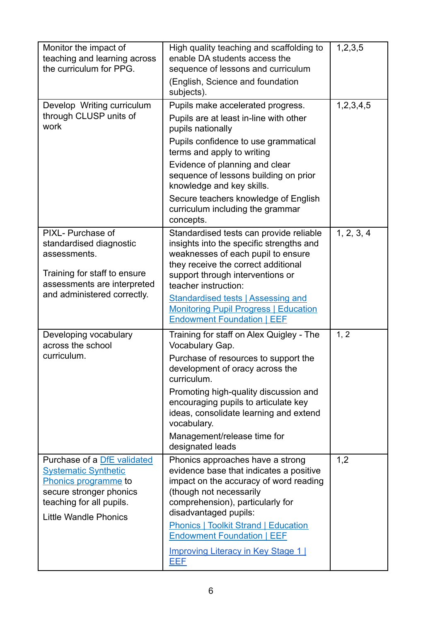| Monitor the impact of<br>teaching and learning across<br>the curriculum for PPG.                                                                                          | High quality teaching and scaffolding to<br>enable DA students access the<br>sequence of lessons and curriculum                                                                                                                                                                | 1, 2, 3, 5    |
|---------------------------------------------------------------------------------------------------------------------------------------------------------------------------|--------------------------------------------------------------------------------------------------------------------------------------------------------------------------------------------------------------------------------------------------------------------------------|---------------|
|                                                                                                                                                                           | (English, Science and foundation<br>subjects).                                                                                                                                                                                                                                 |               |
| Develop Writing curriculum<br>through CLUSP units of<br>work                                                                                                              | Pupils make accelerated progress.<br>Pupils are at least in-line with other<br>pupils nationally<br>Pupils confidence to use grammatical<br>terms and apply to writing<br>Evidence of planning and clear<br>sequence of lessons building on prior<br>knowledge and key skills. | 1, 2, 3, 4, 5 |
|                                                                                                                                                                           | Secure teachers knowledge of English<br>curriculum including the grammar<br>concepts.                                                                                                                                                                                          |               |
| PIXL- Purchase of<br>standardised diagnostic<br>assessments.<br>Training for staff to ensure<br>assessments are interpreted                                               | Standardised tests can provide reliable<br>insights into the specific strengths and<br>weaknesses of each pupil to ensure<br>they receive the correct additional<br>support through interventions or<br>teacher instruction:                                                   | 1, 2, 3, 4    |
| and administered correctly.                                                                                                                                               | <b>Standardised tests   Assessing and</b><br><b>Monitoring Pupil Progress   Education</b><br><b>Endowment Foundation   EEF</b>                                                                                                                                                 |               |
| Developing vocabulary<br>across the school<br>curriculum.                                                                                                                 | Training for staff on Alex Quigley - The<br>Vocabulary Gap.<br>Purchase of resources to support the<br>development of oracy across the<br>curriculum.                                                                                                                          | 1, 2          |
|                                                                                                                                                                           | Promoting high-quality discussion and<br>encouraging pupils to articulate key<br>ideas, consolidate learning and extend<br>vocabulary.<br>Management/release time for                                                                                                          |               |
|                                                                                                                                                                           | designated leads                                                                                                                                                                                                                                                               |               |
| Purchase of a DfE validated<br><b>Systematic Synthetic</b><br>Phonics programme to<br>secure stronger phonics<br>teaching for all pupils.<br><b>Little Wandle Phonics</b> | Phonics approaches have a strong<br>evidence base that indicates a positive<br>impact on the accuracy of word reading<br>(though not necessarily<br>comprehension), particularly for<br>disadvantaged pupils:                                                                  | 1,2           |
|                                                                                                                                                                           | <b>Phonics   Toolkit Strand   Education</b><br><b>Endowment Foundation   EEF</b><br><b>Improving Literacy in Key Stage 11</b><br>EEF                                                                                                                                           |               |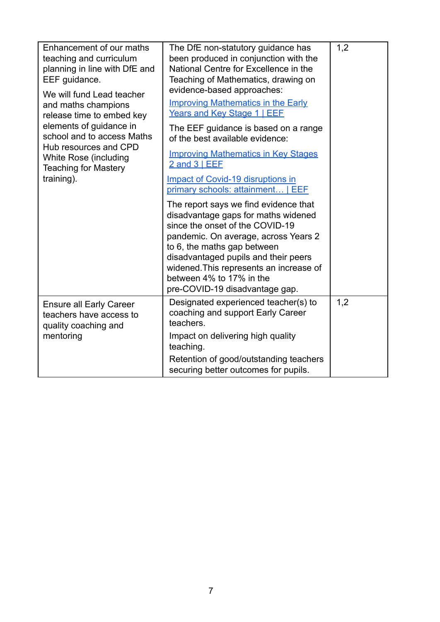| Enhancement of our maths<br>teaching and curriculum<br>planning in line with DfE and<br>EEF guidance.<br>We will fund Lead teacher<br>and maths champions<br>release time to embed key<br>elements of guidance in<br>school and to access Maths<br>Hub resources and CPD<br>White Rose (including<br><b>Teaching for Mastery</b><br>training). | The DfE non-statutory guidance has<br>been produced in conjunction with the<br>National Centre for Excellence in the<br>Teaching of Mathematics, drawing on<br>evidence-based approaches:<br><b>Improving Mathematics in the Early</b><br>Years and Key Stage 1   EEF<br>The EEF guidance is based on a range<br>of the best available evidence:<br><b>Improving Mathematics in Key Stages</b><br>2 and 3   EEF<br>Impact of Covid-19 disruptions in<br>primary schools: attainment   EEF<br>The report says we find evidence that<br>disadvantage gaps for maths widened<br>since the onset of the COVID-19<br>pandemic. On average, across Years 2<br>to 6, the maths gap between<br>disadvantaged pupils and their peers<br>widened. This represents an increase of<br>between 4% to 17% in the | 1,2 |
|------------------------------------------------------------------------------------------------------------------------------------------------------------------------------------------------------------------------------------------------------------------------------------------------------------------------------------------------|----------------------------------------------------------------------------------------------------------------------------------------------------------------------------------------------------------------------------------------------------------------------------------------------------------------------------------------------------------------------------------------------------------------------------------------------------------------------------------------------------------------------------------------------------------------------------------------------------------------------------------------------------------------------------------------------------------------------------------------------------------------------------------------------------|-----|
|                                                                                                                                                                                                                                                                                                                                                | pre-COVID-19 disadvantage gap.                                                                                                                                                                                                                                                                                                                                                                                                                                                                                                                                                                                                                                                                                                                                                                     |     |
| <b>Ensure all Early Career</b><br>teachers have access to<br>quality coaching and                                                                                                                                                                                                                                                              | Designated experienced teacher(s) to<br>coaching and support Early Career<br>teachers.                                                                                                                                                                                                                                                                                                                                                                                                                                                                                                                                                                                                                                                                                                             | 1,2 |
| mentoring                                                                                                                                                                                                                                                                                                                                      | Impact on delivering high quality<br>teaching.                                                                                                                                                                                                                                                                                                                                                                                                                                                                                                                                                                                                                                                                                                                                                     |     |
|                                                                                                                                                                                                                                                                                                                                                | Retention of good/outstanding teachers<br>securing better outcomes for pupils.                                                                                                                                                                                                                                                                                                                                                                                                                                                                                                                                                                                                                                                                                                                     |     |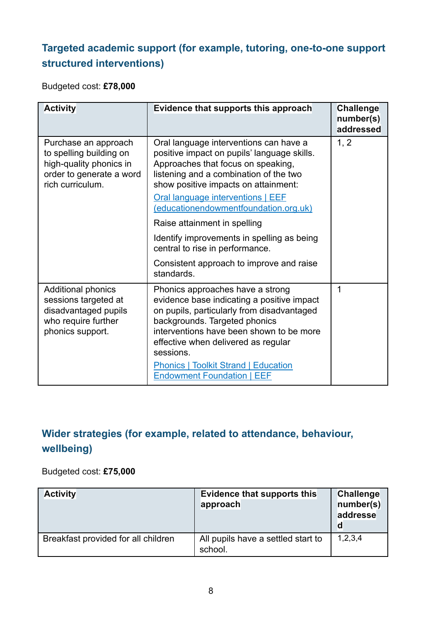#### **Targeted academic support (for example, tutoring, one-to-one support structured interventions)**

Budgeted cost: **£78,000**

| <b>Activity</b>                                                                                                            | Evidence that supports this approach                                                                                                                                                                                                                                                                                                              | <b>Challenge</b><br>number(s)<br>addressed |
|----------------------------------------------------------------------------------------------------------------------------|---------------------------------------------------------------------------------------------------------------------------------------------------------------------------------------------------------------------------------------------------------------------------------------------------------------------------------------------------|--------------------------------------------|
| Purchase an approach<br>to spelling building on<br>high-quality phonics in<br>order to generate a word<br>rich curriculum. | Oral language interventions can have a<br>positive impact on pupils' language skills.<br>Approaches that focus on speaking,<br>listening and a combination of the two<br>show positive impacts on attainment:<br>Oral language interventions   EEF<br>(educationendowmentfoundation.org.uk)<br>Raise attainment in spelling                       | 1, 2                                       |
|                                                                                                                            | Identify improvements in spelling as being<br>central to rise in performance.<br>Consistent approach to improve and raise<br>standards.                                                                                                                                                                                                           |                                            |
| <b>Additional phonics</b><br>sessions targeted at<br>disadvantaged pupils<br>who require further<br>phonics support.       | Phonics approaches have a strong<br>evidence base indicating a positive impact<br>on pupils, particularly from disadvantaged<br>backgrounds. Targeted phonics<br>interventions have been shown to be more<br>effective when delivered as regular<br>sessions.<br><b>Phonics   Toolkit Strand   Education</b><br><b>Endowment Foundation   EEF</b> | 1                                          |

#### **Wider strategies (for example, related to attendance, behaviour, wellbeing)**

#### Budgeted cost: **£75,000**

| <b>Activity</b>                     | Evidence that supports this<br>approach       | Challenge<br>number(s)<br>addresse<br>d |
|-------------------------------------|-----------------------------------------------|-----------------------------------------|
| Breakfast provided for all children | All pupils have a settled start to<br>school. | 1,2,3,4                                 |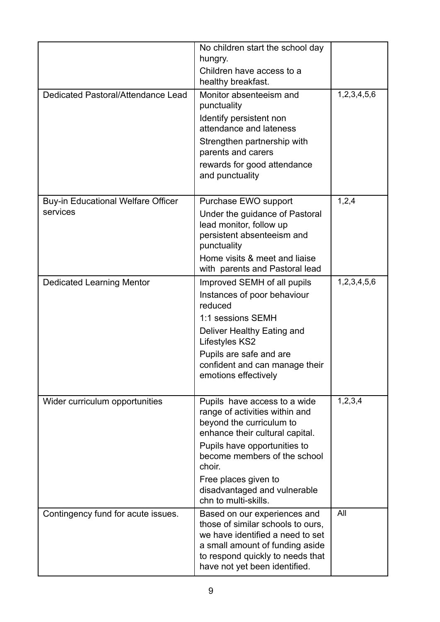|                                                       | No children start the school day<br>hungry.<br>Children have access to a<br>healthy breakfast.                                                                                                                                                                                          |             |
|-------------------------------------------------------|-----------------------------------------------------------------------------------------------------------------------------------------------------------------------------------------------------------------------------------------------------------------------------------------|-------------|
| Dedicated Pastoral/Attendance Lead                    | Monitor absenteeism and<br>punctuality<br>Identify persistent non<br>attendance and lateness<br>Strengthen partnership with<br>parents and carers<br>rewards for good attendance<br>and punctuality                                                                                     | 1,2,3,4,5,6 |
| <b>Buy-in Educational Welfare Officer</b><br>services | Purchase EWO support<br>Under the guidance of Pastoral<br>lead monitor, follow up<br>persistent absenteeism and<br>punctuality<br>Home visits & meet and liaise<br>with parents and Pastoral lead                                                                                       | 1,2,4       |
| <b>Dedicated Learning Mentor</b>                      | Improved SEMH of all pupils<br>Instances of poor behaviour<br>reduced<br>1:1 sessions SEMH<br>Deliver Healthy Eating and<br>Lifestyles KS2<br>Pupils are safe and are<br>confident and can manage their<br>emotions effectively                                                         | 1,2,3,4,5,6 |
| Wider curriculum opportunities                        | Pupils have access to a wide<br>range of activities within and<br>beyond the curriculum to<br>enhance their cultural capital.<br>Pupils have opportunities to<br>become members of the school<br>choir.<br>Free places given to<br>disadvantaged and vulnerable<br>chn to multi-skills. | 1, 2, 3, 4  |
| Contingency fund for acute issues.                    | Based on our experiences and<br>those of similar schools to ours,<br>we have identified a need to set<br>a small amount of funding aside<br>to respond quickly to needs that<br>have not yet been identified.                                                                           | All         |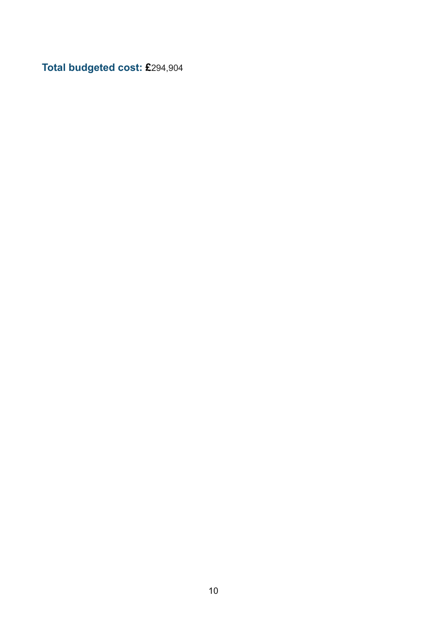**Total budgeted cost: £**294,904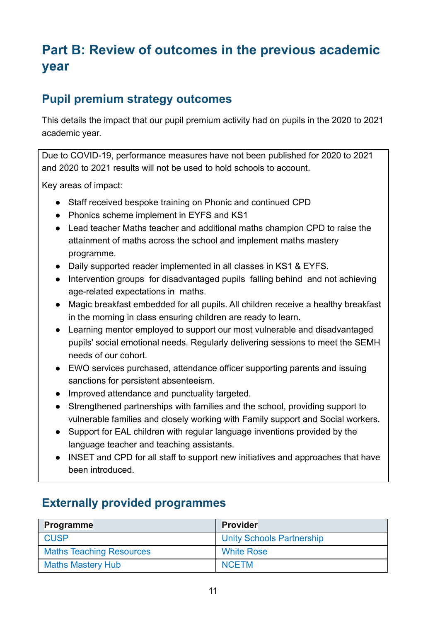## **Part B: Review of outcomes in the previous academic year**

#### **Pupil premium strategy outcomes**

This details the impact that our pupil premium activity had on pupils in the 2020 to 2021 academic year.

Due to COVID-19, performance measures have not been published for 2020 to 2021 and 2020 to 2021 results will not be used to hold schools to account.

Key areas of impact:

- Staff received bespoke training on Phonic and continued CPD
- Phonics scheme implement in EYFS and KS1
- Lead teacher Maths teacher and additional maths champion CPD to raise the attainment of maths across the school and implement maths mastery programme.
- Daily supported reader implemented in all classes in KS1 & EYFS.
- Intervention groups for disadvantaged pupils falling behind and not achieving age-related expectations in maths.
- Magic breakfast embedded for all pupils. All children receive a healthy breakfast in the morning in class ensuring children are ready to learn.
- Learning mentor employed to support our most vulnerable and disadvantaged pupils' social emotional needs. Regularly delivering sessions to meet the SEMH needs of our cohort.
- EWO services purchased, attendance officer supporting parents and issuing sanctions for persistent absenteeism.
- Improved attendance and punctuality targeted.
- Strengthened partnerships with families and the school, providing support to vulnerable families and closely working with Family support and Social workers.
- Support for EAL children with regular language inventions provided by the language teacher and teaching assistants.
- INSET and CPD for all staff to support new initiatives and approaches that have been introduced.

### **Externally provided programmes**

| Programme                       | <b>Provider</b>                  |
|---------------------------------|----------------------------------|
| <b>CUSP</b>                     | <b>Unity Schools Partnership</b> |
| <b>Maths Teaching Resources</b> | <b>White Rose</b>                |
| <b>Maths Mastery Hub</b>        | <b>NCETM</b>                     |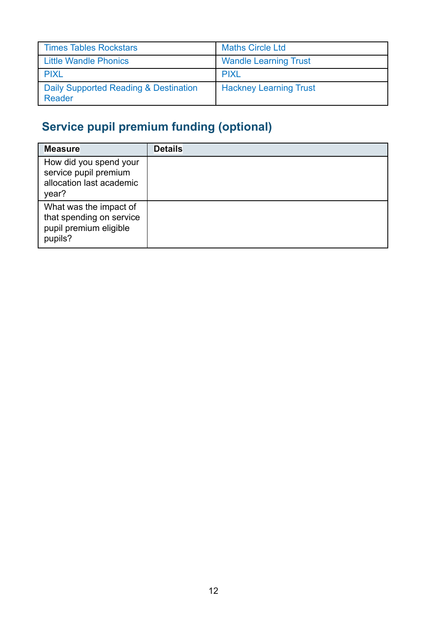| <b>Times Tables Rockstars</b>                   | <b>Maths Circle Ltd</b>       |
|-------------------------------------------------|-------------------------------|
| <b>Little Wandle Phonics</b>                    | <b>Wandle Learning Trust</b>  |
| <b>PIXL</b>                                     | <b>PIXL</b>                   |
| Daily Supported Reading & Destination<br>Reader | <b>Hackney Learning Trust</b> |

# **Service pupil premium funding (optional)**

| <b>Measure</b>                                                                          | <b>Details</b> |
|-----------------------------------------------------------------------------------------|----------------|
| How did you spend your<br>service pupil premium<br>allocation last academic<br>year?    |                |
| What was the impact of<br>that spending on service<br>pupil premium eligible<br>pupils? |                |